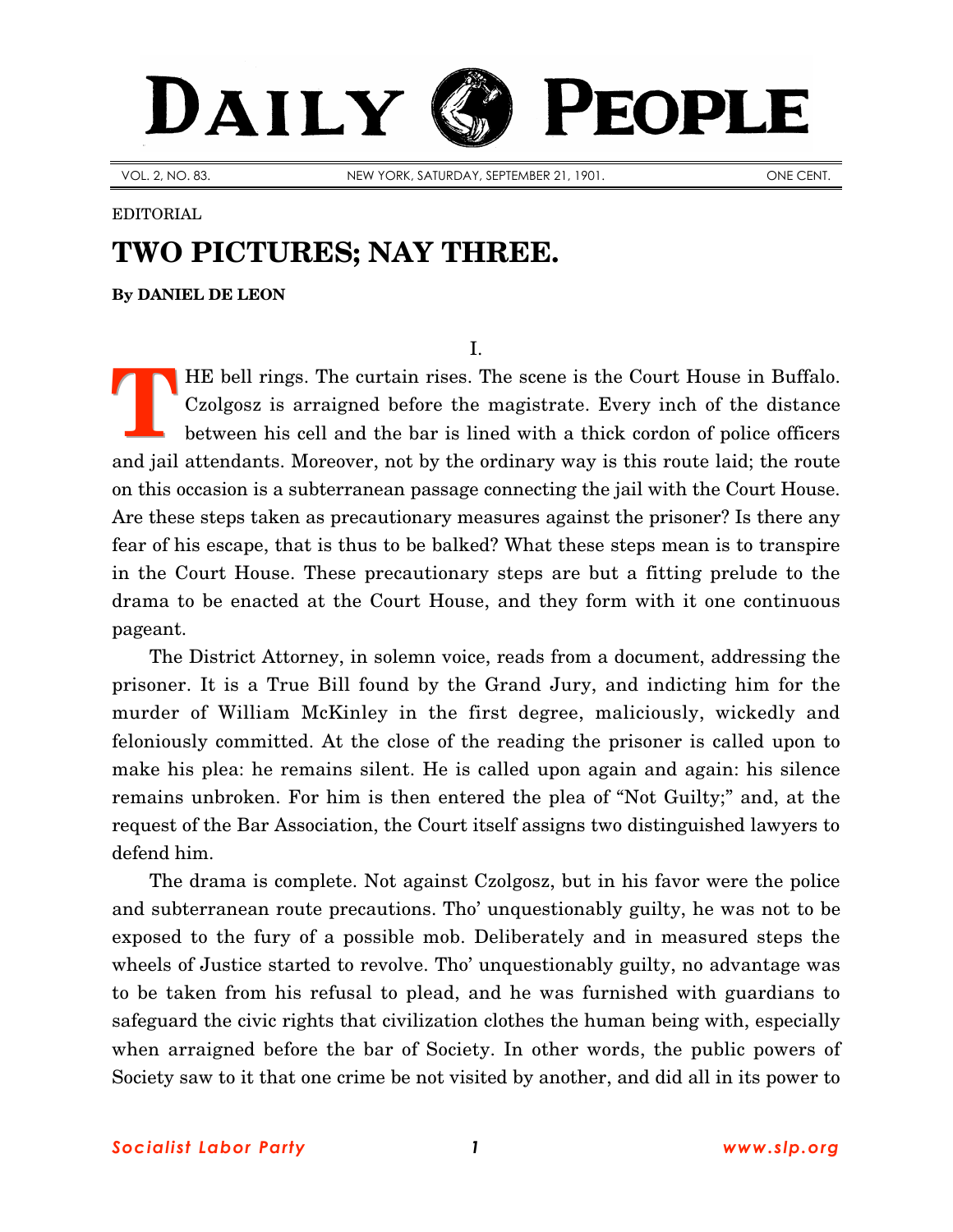# DAILY PEOPLE

VOL. 2, NO. 83. NEW YORK, SATURDAY, SEPTEMBER 21, 1901. ONE CENT.

#### EDITORIAL

## **TWO PICTURES; NAY THREE.**

**By [DANIEL DE LEON](http://www.slp.org/De_Leon.htm)**

I.

HE bell rings. The curtain rises. The scene is the Court House in Buffalo. Czolgosz is arraigned before the magistrate. Every inch of the distance between his cell and the bar is lined with a thick cordon of police officers and jail attendants. Moreover, not by the ordinary way is this route laid; the route on this occasion is a subterranean passage connecting the jail with the Court House. Are these steps taken as precautionary measures against the prisoner? Is there any fear of his escape, that is thus to be balked? What these steps mean is to transpire in the Court House. These precautionary steps are but a fitting prelude to the drama to be enacted at the Court House, and they form with it one continuous pageant. **T**

The District Attorney, in solemn voice, reads from a document, addressing the prisoner. It is a True Bill found by the Grand Jury, and indicting him for the murder of William McKinley in the first degree, maliciously, wickedly and feloniously committed. At the close of the reading the prisoner is called upon to make his plea: he remains silent. He is called upon again and again: his silence remains unbroken. For him is then entered the plea of "Not Guilty;" and, at the request of the Bar Association, the Court itself assigns two distinguished lawyers to defend him.

The drama is complete. Not against Czolgosz, but in his favor were the police and subterranean route precautions. Tho' unquestionably guilty, he was not to be exposed to the fury of a possible mob. Deliberately and in measured steps the wheels of Justice started to revolve. Tho' unquestionably guilty, no advantage was to be taken from his refusal to plead, and he was furnished with guardians to safeguard the civic rights that civilization clothes the human being with, especially when arraigned before the bar of Society. In other words, the public powers of Society saw to it that one crime be not visited by another, and did all in its power to